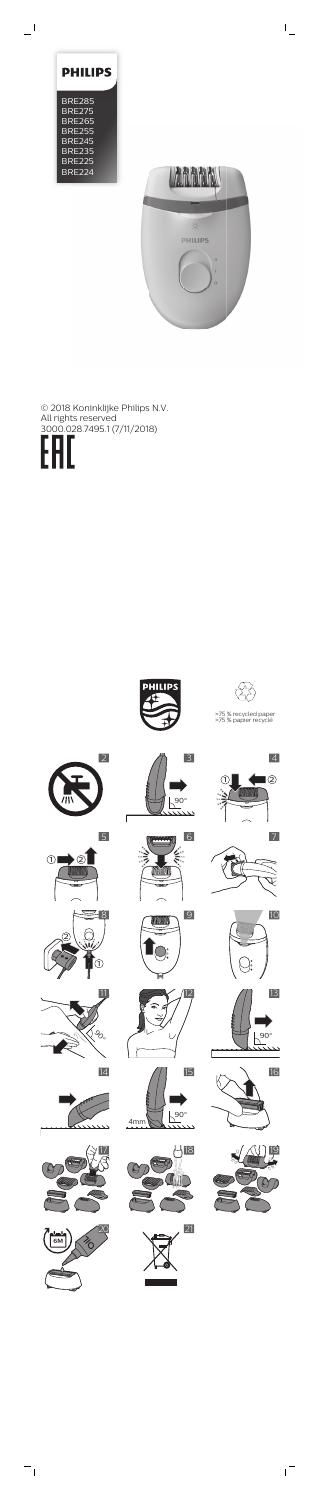

 $\overline{a}$ 



 $\mathbb{L}$ 

© 2018 Koninklijke Philips N.V. All rights reserved 3000.028.7495.1 (7/11/2018)







 $^{-}$ 





 $=$ <sub>1</sub>

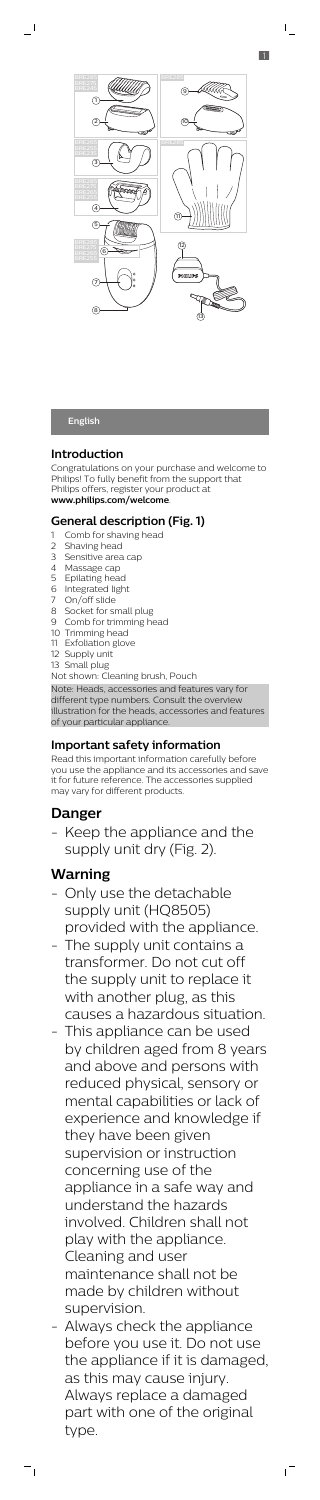# **English**

 $\overline{\phantom{0}}$ 

## **Introduction**

Congratulations on your purchase and welcome to Philips! To fully benefit from the support that Philips offers, register your product at **www.philips.com/welcome**.

## **General description (Fig. 1)**

- 1 Comb for shaving head
- 2 Shaving head
- 3 Sensitive area cap
- 4 Massage cap
- 5 Epilating head
- 6 Integrated light
- 7 On/off slide
- 8 Socket for small plug 9 Comb for trimming head
- 10 Trimming head
- 11 Exfoliation glove
- 12 Supply unit
- 13 Small plug

Keep the appliance and the supply unit dry (Fig. 2).

Not shown: Cleaning brush, Pouch

Note: Heads, accessories and features vary for different type numbers. Consult the overview illustration for the heads, accessories and features of your particular appliance.

# **Important safety information**

Read this important information carefully before you use the appliance and its accessories and save it for future reference. The accessories supplied may vary for different products.

# **Danger**

# **Warning**

- Only use the detachable supply unit (HQ8505) provided with the appliance.
- The supply unit contains a transformer. Do not cut off the supply unit to replace it with another plug, as this causes a hazardous situation.
- This appliance can be used by children aged from 8 years and above and persons with

reduced physical, sensory or mental capabilities or lack of experience and knowledge if they have been given supervision or instruction concerning use of the appliance in a safe way and understand the hazards involved. Children shall not play with the appliance. Cleaning and user maintenance shall not be made by children without supervision.

- Always check the appliance before you use it. Do not use the appliance if it is damaged, as this may cause injury. Always replace a damaged part with one of the original type.

 $^{-}$ 

 $\frac{1}{\sqrt{2}}$ 



 $\begin{array}{c} \rule{0pt}{2ex} \rule{0pt}{2ex} \rule{0pt}{2ex} \rule{0pt}{2ex} \rule{0pt}{2ex} \rule{0pt}{2ex} \rule{0pt}{2ex} \rule{0pt}{2ex} \rule{0pt}{2ex} \rule{0pt}{2ex} \rule{0pt}{2ex} \rule{0pt}{2ex} \rule{0pt}{2ex} \rule{0pt}{2ex} \rule{0pt}{2ex} \rule{0pt}{2ex} \rule{0pt}{2ex} \rule{0pt}{2ex} \rule{0pt}{2ex} \rule{0pt}{2ex} \rule{0pt}{2ex} \rule{0pt}{2ex} \rule{0pt}{2ex} \rule{0pt}{$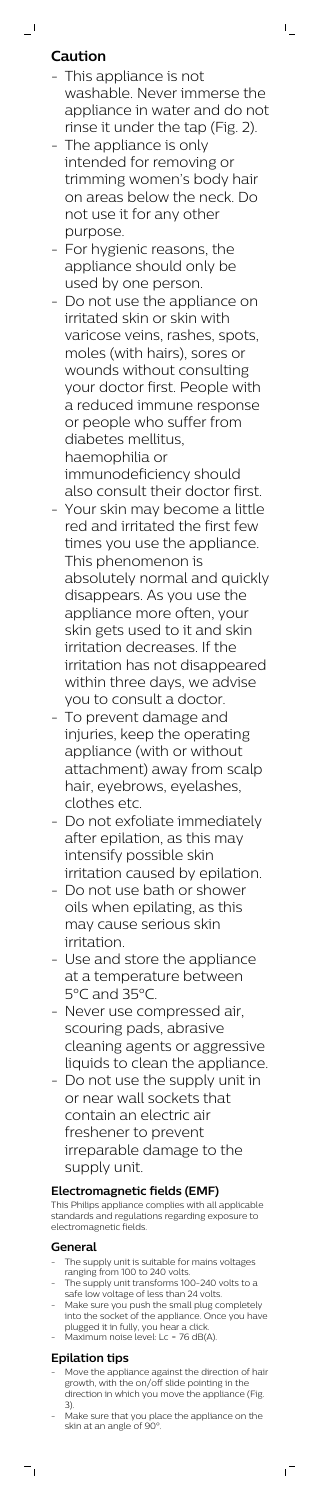# **Caution**

 $\mathbf{I}$ 

This appliance is not washable. Never immerse the appliance in water and do not rinse it under the tap (Fig. 2).

 $\mathbb{L}$ 

- The appliance is only intended for removing or trimming women's body hair on areas below the neck. Do not use it for any other purpose.
- For hygienic reasons, the appliance should only be used by one person.
- Do not use the appliance on irritated skin or skin with varicose veins, rashes, spots, moles (with hairs), sores or wounds without consulting your doctor first. People with a reduced immune response or people who suffer from diabetes mellitus, haemophilia or immunodeficiency should also consult their doctor first.
- Your skin may become a little red and irritated the first few times you use the appliance. This phenomenon is absolutely normal and quickly disappears. As you use the appliance more often, your skin gets used to it and skin irritation decreases. If the irritation has not disappeared within three days, we advise you to consult a doctor.
- To prevent damage and injuries, keep the operating appliance (with or without attachment) away from scalp hair, eyebrows, eyelashes, clothes etc.
- Do not exfoliate immediately after epilation, as this may intensify possible skin irritation caused by epilation.
- Do not use bath or shower oils when epilating, as this may cause serious skin irritation.
- Use and store the appliance at a temperature between 5°C and 35°C.
- Never use compressed air, scouring pads, abrasive cleaning agents or aggressive liquids to clean the appliance.
- Do not use the supply unit in

- Move the appliance against the direction of hair growth, with the on/off slide pointing in the direction in which you move the appliance (Fig. 3).
- Make sure that you place the appliance on the skin at an angle of 90°.

 $^{-}$ 

or near wall sockets that contain an electric air freshener to prevent irreparable damage to the supply unit.

# **Electromagnetic fields (EMF)**

This Philips appliance complies with all applicable standards and regulations regarding exposure to electromagnetic fields.

# **General**

- The supply unit is suitable for mains voltages ranging from 100 to 240 volts.
- The supply unit transforms 100-240 volts to a safe low voltage of less than 24 volts.
- Make sure you push the small plug completely into the socket of the appliance. Once you have plugged it in fully, you hear a click.
- Maximum noise level: Lc = 76 dB(A).

# **Epilation tips**

 $\frac{1}{\sqrt{2}}$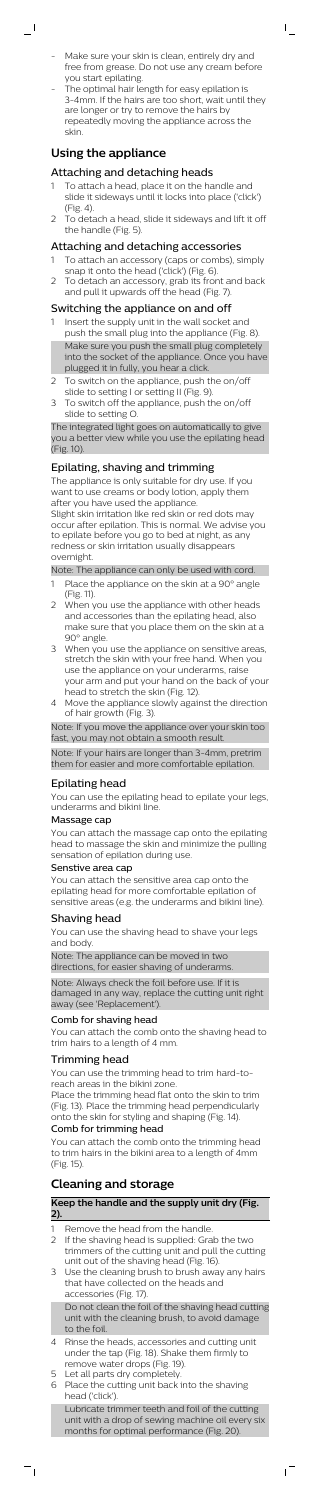Make sure your skin is clean, entirely dry and free from grease. Do not use any cream before you start epilating.

 $\mathsf{L}$ 

The optimal hair length for easy epilation is 3-4mm. If the hairs are too short, wait until they are longer or try to remove the hairs by repeatedly moving the appliance across the skin.

- To attach a head, place it on the handle and slide it sideways until it locks into place ('click') (Fig. 4).
- 2 To detach a head, slide it sideways and lift it off the handle (Fig. 5).

# **Using the appliance**

 $\overline{\phantom{0}}$ 

### Attaching and detaching heads

### Attaching and detaching accessories

- 1 Insert the supply unit in the wall socket and push the small plug into the appliance (Fig. 8). Make sure you push the small plug completely into the socket of the appliance. Once you have plugged it in fully, you hear a click.
- 2 To switch on the appliance, push the on/off slide to setting I or setting II (Fig. 9).
- 3 To switch off the appliance, push the on/off slide to setting O.
- 1 To attach an accessory (caps or combs), simply snap it onto the head ('click') (Fig. 6).
- 2 To detach an accessory, grab its front and back and pull it upwards off the head (Fig. 7).

### Switching the appliance on and off

- 1 Place the appliance on the skin at a 90° angle (Fig. 11).
- 2 When you use the appliance with other heads and accessories than the epilating head, also make sure that you place them on the skin at a 90° angle.
- 3 When you use the appliance on sensitive areas, stretch the skin with your free hand. When you use the appliance on your underarms, raise your arm and put your hand on the back of your head to stretch the skin (Fig. 12).
- 4 Move the appliance slowly against the direction of hair growth (Fig. 3).

The integrated light goes on automatically to give you a better view while you use the epilating head (Fig. 10).

### Epilating, shaving and trimming

The appliance is only suitable for dry use. If you want to use creams or body lotion, apply them after you have used the appliance.

Slight skin irritation like red skin or red dots may occur after epilation. This is normal. We advise you to epilate before you go to bed at night, as any redness or skin irritation usually disappears overnight.

Note: The appliance can only be used with cord.

- Remove the head from the handle
- 2 If the shaving head is supplied: Grab the two trimmers of the cutting unit and pull the cutting unit out of the shaving head (Fig. 16).
- 3 Use the cleaning brush to brush away any hairs that have collected on the heads and accessories (Fig. 17).

Note: If you move the appliance over your skin too fast, you may not obtain a smooth result.

Note: If your hairs are longer than 3-4mm, pretrim them for easier and more comfortable epilation.

### Epilating head

You can use the epilating head to epilate your legs, underarms and bikini line.

### Massage cap

You can attach the massage cap onto the epilating head to massage the skin and minimize the pulling sensation of epilation during use.

#### Senstive area cap

You can attach the sensitive area cap onto the epilating head for more comfortable epilation of sensitive areas (e.g. the underarms and bikini line).

### Shaving head

You can use the shaving head to shave your legs and body.

Note: The appliance can be moved in two directions, for easier shaving of underarms.

Note: Always check the foil before use. If it is damaged in any way, replace the cutting unit right away (see 'Replacement').

#### Comb for shaving head

You can attach the comb onto the shaving head to trim hairs to a length of 4 mm.

# Trimming head

You can use the trimming head to trim hard-to-

reach areas in the bikini zone.

Place the trimming head flat onto the skin to trim (Fig. 13). Place the trimming head perpendicularly onto the skin for styling and shaping (Fig. 14).

## Comb for trimming head

You can attach the comb onto the trimming head to trim hairs in the bikini area to a length of 4mm (Fig. 15).

# **Cleaning and storage**

### **Keep the handle and the supply unit dry (Fig. 2).**

Do not clean the foil of the shaving head cutting unit with the cleaning brush, to avoid damage to the foil.

- 4 Rinse the heads, accessories and cutting unit under the tap (Fig. 18). Shake them firmly to remove water drops (Fig. 19).
- 5 Let all parts dry completely.

 $\overline{\phantom{a}}$ 

6 Place the cutting unit back into the shaving head ('click').

Lubricate trimmer teeth and foil of the cutting unit with a drop of sewing machine oil every six months for optimal performance (Fig. 20).

 $\sqrt{ }$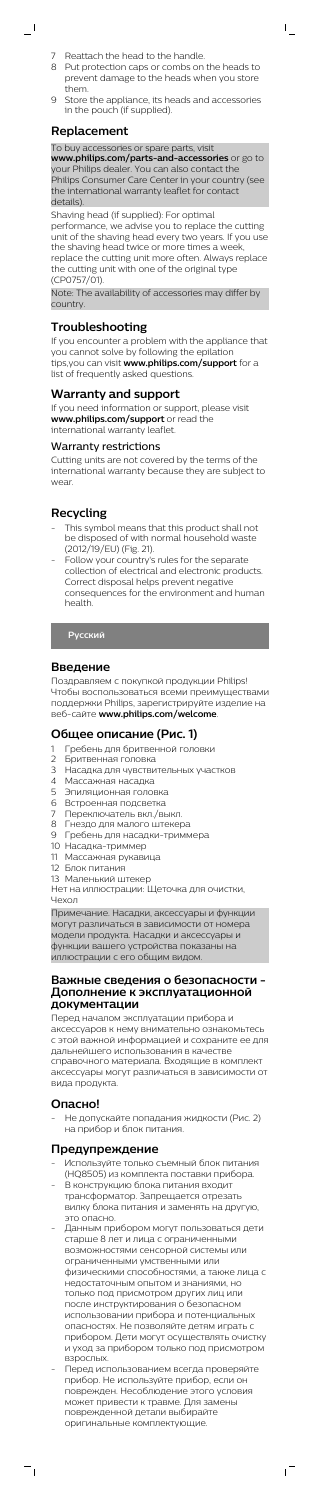- Reattach the head to the handle.
- 8 Put protection caps or combs on the heads to prevent damage to the heads when you store them.

 $\mathbf{I}$ 

**www.philips.com/parts-and-accessories** or go to your Philips dealer. You can also contact the Philips Consumer Care Center in your country (see the international warranty leaflet for contact details)

9 Store the appliance, its heads and accessories in the pouch (if supplied).

#### **Replacement**

 $\overline{\phantom{0}}$ 

To buy accessories or spare parts, visit

Shaving head (if supplied): For optimal

performance, we advise you to replace the cutting unit of the shaving head every two years. If you use the shaving head twice or more times a week, replace the cutting unit more often. Always replace the cutting unit with one of the original type (CP0757/01).

Note: The availability of accessories may differ by country.

# **Troubleshooting**

If you encounter a problem with the appliance that you cannot solve by following the epilation tips,you can visit **www.philips.com/support** for a list of frequently asked questions.

# **Warranty and support**

- 1 Гребень для бритвенной головки<br>2 Бритвенная головка
- 2 Бритвенная головка
- 3 Насадка для чувствительных участков
- 4 Массажная насадка
- 5 Эпиляционная головка
- 6 Встроенная подсветка
- 7 Переключатель вкл./выкл.
- 8 Гнездо для малого штекера
- 9 Гребень для насадки-триммера
- 10 Насадка-триммер
- 11 Массажная рукавица
- 12 Блок питания
- 13 Маленький штекер

If you need information or support, please visit **www.philips.com/support** or read the international warranty leaflet.

#### Warranty restrictions

Cutting units are not covered by the terms of the international warranty because they are subject to wear.

## **Recycling**

- This symbol means that this product shall not be disposed of with normal household waste (2012/19/EU) (Fig. 21).
- Follow your country's rules for the separate collection of electrical and electronic products. Correct disposal helps prevent negative consequences for the environment and human health.

**Русский**

### **Введение**

Поздравляем с покупкой продукции Philips! Чтобы воспользоваться всеми преимуществами поддержки Philips, зарегистрируйте изделие на веб-сайте **www.philips.com/welcome**.

### **Общее описание (Рис. 1)**

Нет на иллюстрации: Щеточка для очистки, Чехол

Примечание. Насадки, аксессуары и функции могут различаться в зависимости от номера модели продукта. Насадки и аксессуары и функции вашего устройства показаны на иллюстрации с его общим видом.

## **Важные сведения о безопасности - Дополнение к эксплуатационной документации**

Перед началом эксплуатации прибора и аксессуаров к нему внимательно ознакомьтесь с этой важной информацией и сохраните ее для дальнейшего использования в качестве справочного материала. Входящие в комплект аксессуары могут различаться в зависимости от

вида продукта.

# **Опасно!**

 $\overline{\phantom{a}}$ 

- Не допускайте попадания жидкости (Рис. 2) на прибор и блок питания.

# **Предупреждение**

- Используйте только съемный блок питания (HQ8505) из комплекта поставки прибора.
- В конструкцию блока питания входит трансформатор. Запрещается отрезать вилку блока питания и заменять на другую, это опасно.
- Данным прибором могут пользоваться дети старше 8 лет и лица с ограниченными возможностями сенсорной системы или ограниченными умственными или физическими способностями, а также лица с недостаточным опытом и знаниями, но только под присмотром других лиц или после инструктирования о безопасном использовании прибора и потенциальных опасностях. Не позволяйте детям играть с прибором. Дети могут осуществлять очистку и уход за прибором только под присмотром взрослых.
- Перед использованием всегда проверяйте прибор. Не используйте прибор, если он поврежден. Несоблюдение этого условия может привести к травме. Для замены поврежденной детали выбирайте оригинальные комплектующие.

 $\mathbf{r}$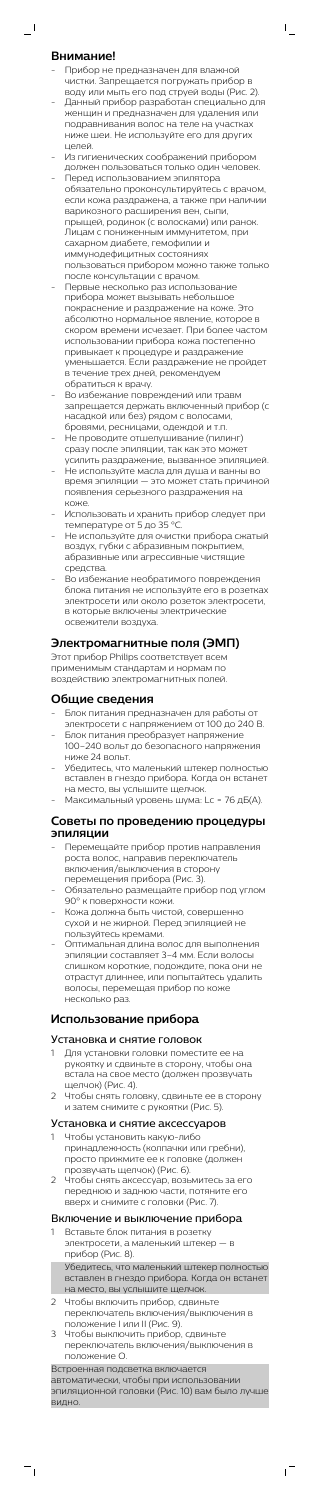**Внимание!**

 $\overline{\phantom{0}}$ 

- Прибор не предназначен для влажной чистки. Запрещается погружать прибор в воду или мыть его под струей воды (Рис. 2).  $\mathsf{I}$ 

- Данный прибор разработан специально для женщин и предназначен для удаления или подравнивания волос на теле на участках ниже шеи. Не используйте его для других целей.
- Из гигиенических соображений прибором должен пользоваться только один человек.
- Перед использованием эпилятора обязательно проконсультируйтесь с врачом, если кожа раздражена, а также при наличии варикозного расширения вен, сыпи, прыщей, родинок (с волосками) или ранок. Лицам с пониженным иммунитетом, при сахарном диабете, гемофилии и иммунодефицитных состояниях пользоваться прибором можно также только после консультации с врачом.
- Первые несколько раз использование прибора может вызывать небольшое покраснение и раздражение на коже. Это абсолютно нормальное явление, которое в скором времени исчезает. При более частом использовании прибора кожа постепенно привыкает к процедуре и раздражение уменьшается. Если раздражение не пройдет в течение трех дней, рекомендуем обратиться к врачу.
- Во избежание повреждений или травм запрещается держать включенный прибор (с насадкой или без) рядом с волосами, бровями, ресницами, одеждой и т.п.
- Не проводите отшелушивание (пилинг) сразу после эпиляции, так как это может усилить раздражение, вызванное эпиляцией.
- Не используйте масла для душа и ванны во время эпиляции — это может стать причиной появления серьезного раздражения на коже.
- Использовать и хранить прибор следует при температуре от 5 до 35 °C.
- Не используйте для очистки прибора сжатый воздух, губки с абразивным покрытием, абразивные или агрессивные чистящие средства.
- Во избежание необратимого повреждения блока питания не используйте его в розетках электросети или около розеток электросети, в которые включены электрические освежители воздуха.

- Блок питания предназначен для работы от электросети с напряжением от 100 до 240 В.
- Блок питания преобразует напряжение 100–240 вольт до безопасного напряжения ниже 24 вольт.
- Убедитесь, что маленький штекер полностью вставлен в гнездо прибора. Когда он встанет на место, вы услышите щелчок.
- Максимальный уровень шума: Lc = 76 дБ(А).

# **Электромагнитные поля (ЭМП)**

Этот прибор Philips соответствует всем применимым стандартам и нормам по воздействию электромагнитных полей.

## **Общие сведения**

## **Советы по проведению процедуры эпиляции**

- Перемещайте прибор против направления роста волос, направив переключатель включения/выключения в сторону перемещения прибора (Рис. 3).
- Обязательно размещайте прибор под углом 90° к поверхности кожи.
- Кожа должна быть чистой, совершенно сухой и не жирной. Перед эпиляцией не пользуйтесь кремами.
- Оптимальная длина волос для выполнения эпиляции составляет 3–4 мм. Если волосы слишком короткие, подождите, пока они не отрастут длиннее, или попытайтесь удалить волосы, перемещая прибор по коже несколько раз.

## **Использование прибора**

## Установка и снятие головок

- 1 Для установки головки поместите ее на рукоятку и сдвиньте в сторону, чтобы она встала на свое место (должен прозвучать
- щелчок) (Рис. 4).
- 2 Чтобы снять головку, сдвиньте ее в сторону и затем снимите с рукоятки (Рис. 5).

### Установка и снятие аксессуаров

- 1 Чтобы установить какую-либо принадлежность (колпачки или гребни), просто прижмите ее к головке (должен прозвучать щелчок) (Рис. 6).
- 2 Чтобы снять аксессуар, возьмитесь за его переднюю и заднюю части, потяните его вверх и снимите с головки (Рис. 7).

### Включение и выключение прибора

1 Вставьте блок питания в розетку электросети, а маленький штекер — в прибор (Рис. 8).

Убедитесь, что маленький штекер полностью вставлен в гнездо прибора. Когда он встанет на место, вы услышите щелчок.

- 2 Чтобы включить прибор, сдвиньте переключатель включения/выключения в положение I или II (Рис. 9).
- 3 Чтобы выключить прибор, сдвиньте переключатель включения/выключения в положение O.

Встроенная подсветка включается автоматически, чтобы при использовании эпиляционной головки (Рис. 10) вам было лучше видно.

 $\mathbf{r}$ 

 $\overline{\phantom{a}}$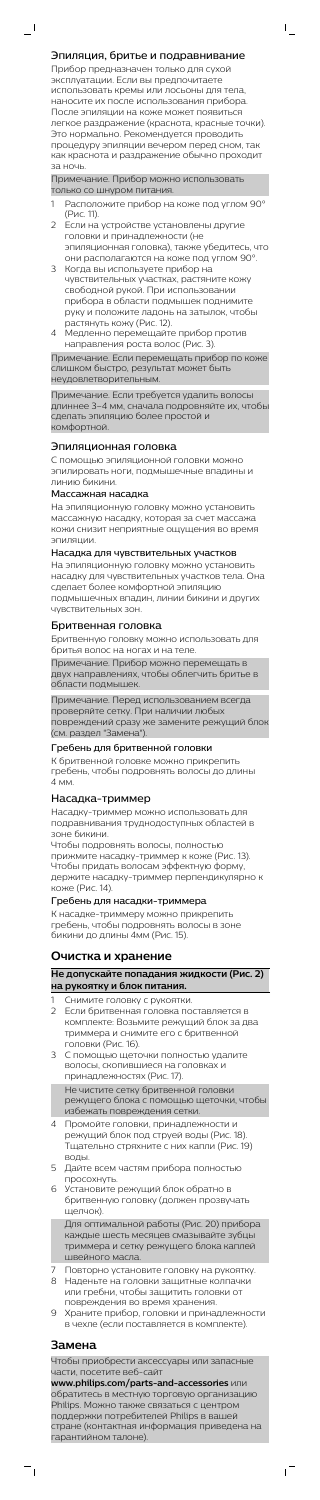### Эпиляция, бритье и подравнивание

 $\begin{array}{c} \rule{0pt}{2ex} \rule{0pt}{2ex} \rule{0pt}{2ex} \rule{0pt}{2ex} \rule{0pt}{2ex} \rule{0pt}{2ex} \rule{0pt}{2ex} \rule{0pt}{2ex} \rule{0pt}{2ex} \rule{0pt}{2ex} \rule{0pt}{2ex} \rule{0pt}{2ex} \rule{0pt}{2ex} \rule{0pt}{2ex} \rule{0pt}{2ex} \rule{0pt}{2ex} \rule{0pt}{2ex} \rule{0pt}{2ex} \rule{0pt}{2ex} \rule{0pt}{2ex} \rule{0pt}{2ex} \rule{0pt}{2ex} \rule{0pt}{2ex} \rule{0pt}{$ 

 $\overline{\phantom{0}}$ 

Прибор предназначен только для сухой эксплуатации. Если вы предпочитаете использовать кремы или лосьоны для тела, наносите их после использования прибора. После эпиляции на коже может появиться легкое раздражение (краснота, красные точки). Это нормально. Рекомендуется проводить процедуру эпиляции вечером перед сном, так как краснота и раздражение обычно проходит за ночь.

Примечание. Прибор можно использовать только со шнуром питания.

- 1 Расположите прибор на коже под углом 90° (Рис. 11).
- 2 Если на устройстве установлены другие головки и принадлежности (не эпиляционная головка), также убедитесь, что они располагаются на коже под углом 90°.
- 3 Когда вы используете прибор на чувствительных участках, растяните кожу свободной рукой. При использовании прибора в области подмышек поднимите руку и положите ладонь на затылок, чтобы растянуть кожу (Рис. 12).
- 4 Медленно перемещайте прибор против направления роста волос (Рис. 3).

Примечание. Если перемещать прибор по коже слишком быстро, результат может быть неудовлетворительным.

Примечание. Если требуется удалить волосы длиннее 3–4 мм, сначала подровняйте их, чтобы сделать эпиляцию более простой и комфортной.

#### Эпиляционная головка

С помощью эпиляционной головки можно эпилировать ноги, подмышечные впадины и линию бикини.

## Массажная насадка

На эпиляционную головку можно установить массажную насадку, которая за счет массажа кожи снизит неприятные ощущения во время эпиляции.

# Насадка для чувствительных участков

На эпиляционную головку можно установить насадку для чувствительных участков тела. Она сделает более комфортной эпиляцию подмышечных впадин, линии бикини и других чувствительных зон.

#### Бритвенная головка

Бритвенную головку можно использовать для бритья волос на ногах и на теле.

Примечание. Прибор можно перемещать в двух направлениях, чтобы облегчить бритье в области подмышек.

Примечание. Перед использованием всегда проверяйте сетку. При наличии любых повреждений сразу же замените режущий блок (см. раздел "Замена").

#### Гребень для бритвенной головки

К бритвенной головке можно прикрепить гребень, чтобы подровнять волосы до длины 4 мм.

#### Насадка-триммер

Насадку-триммер можно использовать для подравнивания труднодоступных областей в зоне бикини.

Чтобы подровнять волосы, полностью прижмите насадку-триммер к коже (Рис. 13). Чтобы придать волосам эффектную форму, держите насадку-триммер перпендикулярно к коже (Рис. 14).

### Гребень для насадки-триммера

К насадке-триммеру можно прикрепить гребень, чтобы подровнять волосы в зоне бикини до длины 4мм (Рис. 15).

### **Очистка и хранение**

### **Не допускайте попадания жидкости (Рис. 2) на рукоятку и блок питания.**

Снимите головку с рукоятки.

- 2 Если бритвенная головка поставляется в комплекте: Возьмите режущий блок за два триммера и снимите его с бритвенной головки (Рис. 16).
- 3 С помощью щеточки полностью удалите волосы, скопившиеся на головках и принадлежностях (Рис. 17).

Не чистите сетку бритвенной головки режущего блока с помощью щеточки, чтобы избежать повреждения сетки.

- 4 Промойте головки, принадлежности и режущий блок под струей воды (Рис. 18). Тщательно стряхните с них капли (Рис. 19) воды.
- 5 Дайте всем частям прибора полностью просохнуть.
- 6 Установите режущий блок обратно в бритвенную головку (должен прозвучать щелчок).

Для оптимальной работы (Рис. 20) прибора каждые шесть месяцев смазывайте зубцы триммера и сетку режущего блока каплей швейного масла.

- 7 Повторно установите головку на рукоятку.
- 8 Наденьте на головки защитные колпачки или гребни, чтобы защитить головки от повреждения во время хранения.
- 9 Храните прибор, головки и принадлежности в чехле (если поставляется в комплекте).

# **Замена**

 $\overline{\phantom{a}}$ 

Чтобы приобрести аксессуары или запасные части, посетите веб-сайт

**www.philips.com/parts-and-accessories** или обратитесь в местную торговую организацию Philips. Можно также связаться с центром поддержки потребителей Philips в вашей стране (контактная информация приведена на гарантийном талоне).

 $^{-}$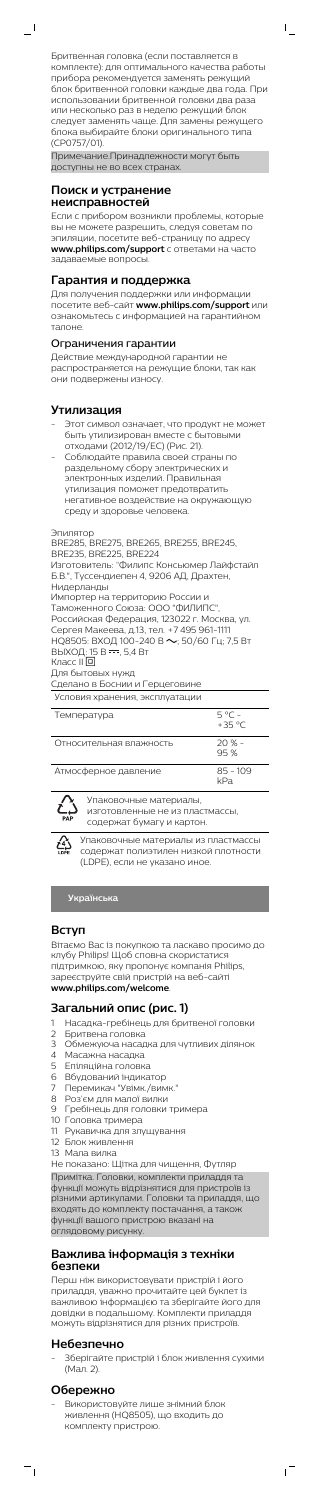Бритвенная головка (если поставляется в комплекте): для оптимального качества работы прибора рекомендуется заменять режущий блок бритвенной головки каждые два года. При использовании бритвенной головки два раза или несколько раз в неделю режущий блок следует заменять чаще. Для замены режущего блока выбирайте блоки оригинального типа (CP0757/01).

Примечание.Принадлежности могут быть доступны не во всех странах.

# **Поиск и устранение неисправностей**

Если с прибором возникли проблемы, которые вы не можете разрешить, следуя советам по эпиляции, посетите веб-страницу по адресу **www.philips.com/support** с ответами на часто задаваемые вопросы.

# **Гарантия и поддержка**

Для получения поддержки или информации посетите веб-сайт **www.philips.com/support** или ознакомьтесь с информацией на гарантийном талоне.

### Ограничения гарантии

Действие международной гарантии не распространяется на режущие блоки, так как они подвержены износу.

## **Утилизация**

- Этот символ означает, что продукт не может быть утилизирован вместе с бытовыми отходами (2012/19/ЕС) (Рис. 21).
- Соблюдайте правила своей страны по раздельному сбору электрических и электронных изделий. Правильная утилизация поможет предотвратить негативное воздействие на окружающую среду и здоровье человека.

Эпилятор BRE285, BRE275, BRE265, BRE255, BRE245, BRE235, BRE225, BRE224 Изготовитель: "Филипс Консьюмер Лайфстайл Б.В.", Туссендиепен 4, 9206 АД, Драхтен, Нидерланды Импортер на территорию России и Таможенного Союза: ООО "ФИЛИПС", Российская Федерация, 123022 г. Москва, ул. Сергея Макеева, д.13, тел. +7 495 961-1111 НQ8505: ВХОД 100-240 В  $\sim$ ; 50/60 Гц; 7,5 Вт ВЫХОД: 15 В - - , 5,4 Вт Класс II Для бытовых нужд Сделано в Боснии и Герцеговине Условия хранения, эксплуатации

| Температура             | $5^{\circ}C -$<br>$+35\,^{\circ}C$ |
|-------------------------|------------------------------------|
| Относительная влажность | $20% -$<br>95%                     |
| Атмосферное давление    | $85 - 109$<br>∡Pa                  |

Упаковочные материалы, изготовленные не из пластмассы,  $\frac{1}{\text{PAF}}$ содержат бумагу и картон.

Упаковочные материалы из пластмассы содержат полиэтилен низкой плотности (LDPE), если не указано иное.

**Українська**

## **Вступ**

Вітаємо Вас із покупкою та ласкаво просимо до клубу Philips! Щоб сповна скористатися підтримкою, яку пропонує компанія Philips, зареєструйте свій пристрій на веб-сайті **www.philips.com/welcome**.

# **Загальний опис (рис. 1)**

- 1 Насадка-гребінець для бритвеної головки
- 2 Бритвена головка
- 3 Обмежуюча насадка для чутливих ділянок
- 4 Масажна насадка
- 5 Епіляційна головка
- 6 Вбудований індикатор

- 7 Перемикач "Увімк./вимк."
- 8 Роз'єм для малої вилки
- 9 Гребінець для головки тримера
- 10 Головка тримера
- 11 Рукавичка для злущування
- 12 Блок живлення
- 13 Мала вилка

Не показано: Щітка для чищення, Футляр

Примітка. Головки, комплекти приладдя та функції можуть відрізнятися для пристроїв із різними артикулами. Головки та приладдя, що входять до комплекту постачання, а також функції вашого пристрою вказані на оглядовому рисунку.

# **Важлива інформація з техніки безпеки**

Перш ніж використовувати пристрій і його приладдя, уважно прочитайте цей буклет із важливою інформацією та зберігайте його для довідки в подальшому. Комплекти приладдя можуть відрізнятися для різних пристроїв.

# **Небезпечно**

- Зберігайте пристрій і блок живлення сухими (Мал. 2).

 $^{-}$ 

# **Обережно**

 $\overline{\phantom{a}}$ 

- Використовуйте лише знімний блок живлення (HQ8505), що входить до комплекту пристрою.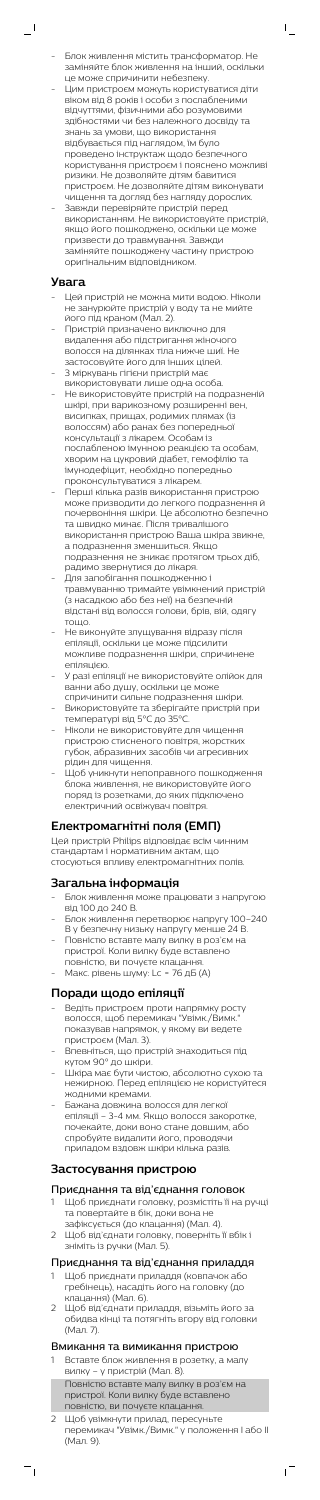- Блок живлення містить трансформатор. Не заміняйте блок живлення на інший, оскільки це може спричинити небезпеку.

 $\mathsf{I}$ 

- Цим пристроєм можуть користуватися діти віком від 8 років і особи з послабленими відчуттями, фізичними або розумовими здібностями чи без належного досвіду та знань за умови, що використання відбувається під наглядом, їм було проведено інструктаж щодо безпечного користування пристроєм і пояснено можливі ризики. Не дозволяйте дітям бавитися пристроєм. Не дозволяйте дітям виконувати чищення та догляд без нагляду дорослих.
- Завжди перевіряйте пристрій перед використанням. Не використовуйте пристрій, якщо його пошкоджено, оскільки це може призвести до травмування. Завжди заміняйте пошкоджену частину пристрою оригінальним відповідником.

# **Увага**

 $\overline{\phantom{0}}$ 

- Блок живлення може працювати з напругою від 100 до 240 В.
- Блок живлення перетворює напругу 100–240 В у безпечну низьку напругу менше 24 В.
- Повністю вставте малу вилку в роз'єм на пристрої. Коли вилку буде вставлено повністю, ви почуєте клацання.
- Макс. рівень шуму: Lc = 76 дБ (А)
- Цей пристрій не можна мити водою. Ніколи не занурюйте пристрій у воду та не мийте його під краном (Мал. 2).
- Пристрій призначено виключно для видалення або підстригання жіночого волосся на ділянках тіла нижче шиї. Не застосовуйте його для інших цілей.
- З міркувань гігієни пристрій має
- використовувати лише одна особа. - Не використовуйте пристрій на подразненій шкірі, при варикозному розширенні вен, висипках, прищах, родимих плямах (із волоссям) або ранах без попередньої консультації з лікарем. Особам із послабленою імунною реакцією та особам, хворим на цукровий діабет, гемофілію та імунодефіцит, необхідно попередньо проконсультуватися з лікарем.
- Перші кілька разів використання пристрою може призводити до легкого подразнення й почервоніння шкіри. Це абсолютно безпечно та швидко минає. Після тривалішого використання пристрою Ваша шкіра звикне, а подразнення зменшиться. Якщо подразнення не зникає протягом трьох діб, радимо звернутися до лікаря.
- Для запобігання пошкодженню і травмуванню тримайте увімкнений пристрій (з насадкою або без неї) на безпечній відстані від волосся голови, брів, вій, одягу тощо.
- Не виконуйте злущування відразу після епіляції, оскільки це може підсилити можливе подразнення шкіри, спричинене епіляцією.
- У разі епіляції не використовуйте олійок для ванни або душу, оскільки це може спричинити сильне подразнення шкіри.
- Використовуйте та зберігайте пристрій при температурі від 5°C до 35°C.
- Ніколи не використовуйте для чищення пристрою стисненого повітря, жорстких губок, абразивних засобів чи агресивних рідин для чищення.
- Щоб уникнути непоправного пошкодження блока живлення, не використовуйте його поряд із розетками, до яких підключено електричний освіжувач повітря.

# **Електромагнітні поля (ЕМП)**

Цей пристрій Philips відповідає всім чинним стандартам і нормативним актам, що стосуються впливу електромагнітних полів.

## **Загальна інформація**

# **Поради щодо епіляції**

- Ведіть пристроєм проти напрямку росту волосся, щоб перемикач "Увімк./Вимк. показував напрямок, у якому ви ведете пристроєм (Мал. 3).
- Впевніться, що пристрій знаходиться під кутом 90° до шкіри.
- Шкіра має бути чистою, абсолютно сухою та
- нежирною. Перед епіляцією не користуйтеся жодними кремами.
- Бажана довжина волосся для легкої епіляції – 3-4 мм. Якщо волосся закоротке, почекайте, доки воно стане довшим, або спробуйте видалити його, проводячи приладом вздовж шкіри кілька разів.

# **Застосування пристрою**

# Приєднання та від'єднання головок

- 1 Щоб приєднати головку, розмістіть її на ручці та повертайте в бік, доки вона не зафіксується (до клацання) (Мал. 4).
- 2 Щоб від'єднати головку, поверніть її вбік і зніміть із ручки (Мал. 5).

## Приєднання та від'єднання приладдя

- 1 Щоб приєднати приладдя (ковпачок або гребінець), насадіть його на головку (до клацання) (Мал. 6).
- 2 Щоб від'єднати приладдя, візьміть його за обидва кінці та потягніть вгору від головки (Мал. 7).

## Вмикання та вимикання пристрою

1 Вставте блок живлення в розетку, а малу вилку – у пристрій (Мал. 8).

Повністю вставте малу вилку в роз'єм на пристрої. Коли вилку буде вставлено повністю, ви почуєте клацання.

2 Щоб увімкнути прилад, пересуньте перемикач "Увімк./Вимк." у положення І або ІІ (Мал. 9).

 $\sqrt{2}$ 

 $\frac{1}{\sqrt{2}}$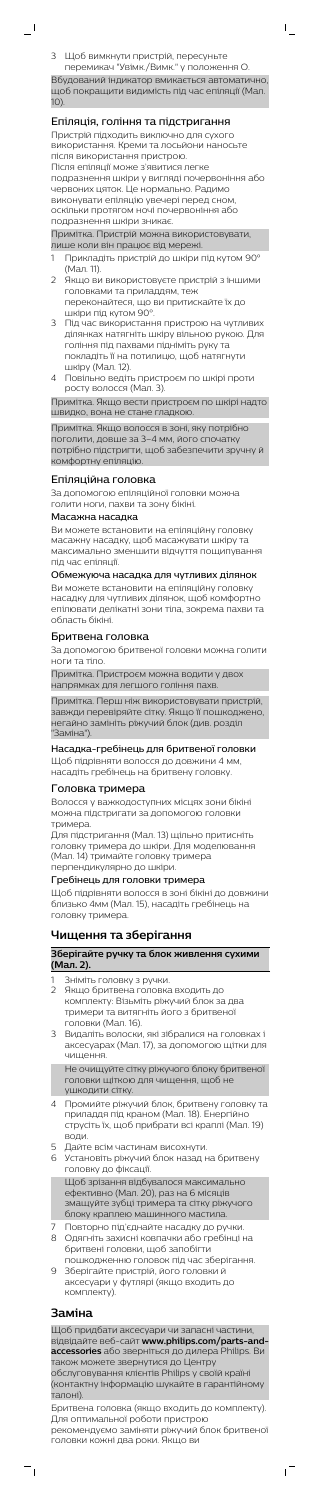3 Щоб вимкнути пристрій, пересуньте перемикач "Увімк./Вимк." у положення О.

 $\overline{\phantom{a}}$ 

Вбудований індикатор вмикається автоматично, щоб покращити видимість під час епіляції (Мал. 10).

 $\mathsf{L}$ 

# Епіляція, гоління та підстригання

Пристрій підходить виключно для сухого використання. Креми та лосьйони наносьте після використання пристрою. Після епіляції може з'явитися легке

подразнення шкіри у вигляді почервоніння або червоних цяток. Це нормально. Радимо виконувати епіляцію увечері перед сном, оскільки протягом ночі почервоніння або подразнення шкіри зникає.

Примітка. Пристрій можна використовувати, лише коли він працює від мережі.

- 1 Прикладіть пристрій до шкіри під кутом 90° (Мал. 11).
- 2 Якщо ви використовуєте пристрій з іншими головками та приладдям, теж переконайтеся, що ви притискайте їх до шкіри під кутом 90°.
- 3 Під час використання пристрою на чутливих ділянках натягніть шкіру вільною рукою. Для гоління під пахвами підніміть руку та покладіть її на потилицю, щоб натягнути шкіру (Мал. 12).
- 4 Повільно ведіть пристроєм по шкірі проти росту волосся (Мал. 3).

Примітка. Якщо вести пристроєм по шкірі надто швидко, вона не стане гладкою.

Примітка. Якщо волосся в зоні, яку потрібно поголити, довше за 3–4 мм, його спочатку потрібно підстригти, щоб забезпечити зручну й комфортну епіляцію.

### Епіляційна головка

За допомогою епіляційної головки можна голити ноги, пахви та зону бікіні.

### Масажна насадка

- Зніміть головку з ручки 2 Якщо бритвена головка входить до комплекту: Візьміть ріжучий блок за два тримери та витягніть його з бритвеної
- головки (Мал. 16). 3 Видаліть волоски, які зібралися на головках і аксесуарах (Мал. 17), за допомогою щітки для чищення.

Ви можете встановити на епіляційну головку масажну насадку, щоб масажувати шкіру та максимально зменшити відчуття пощипування під час епіляції.

#### Обмежуюча насадка для чутливих ділянок

Ви можете встановити на епіляційну головку насадку для чутливих ділянок, щоб комфортно епілювати делікатні зони тіла, зокрема пахви та область бікіні.

### Бритвена головка

За допомогою бритвеної головки можна голити ноги та тіло.

Примітка. Пристроєм можна водити у двох напрямках для легшого гоління пахв.

Примітка. Перш ніж використовувати пристрій, завжди перевіряйте сітку. Якщо її пошкоджено, негайно замініть ріжучий блок (див. розділ "Заміна").

### Насадка-гребінець для бритвеної головки

Щоб підрівняти волосся до довжини 4 мм, насадіть гребінець на бритвену головку.

### Головка тримера

Волосся у важкодоступних місцях зони бікіні можна підстригати за допомогою головки тримера.

Для підстригання (Мал. 13) щільно притисніть головку тримера до шкіри. Для моделювання (Мал. 14) тримайте головку тримера перпендикулярно до шкіри.

# Гребінець для головки тримера

Щоб підрівняти волосся в зоні бікіні до довжини близько 4мм (Мал. 15), насадіть гребінець на головку тримера.

# **Чищення та зберігання**

### **Зберігайте ручку та блок живлення сухими (Мал. 2).**

Не очищуйте сітку ріжучого блоку бритвеної головки щіткою для чищення, щоб не ушкодити сітку.

- 4 Промийте ріжучий блок, бритвену головку та приладдя під краном (Мал. 18). Енергійно струсіть їх, щоб прибрати всі краплі (Мал. 19) води.
- 5 Дайте всім частинам висохнути.
- 6 Установіть ріжучий блок назад на бритвену головку до фіксації.

Щоб зрізання відбувалося максимально ефективно (Мал. 20), раз на 6 місяців змащуйте зубці тримера та сітку ріжучого блоку краплею машинного мастила.

- 7 Повторно під'єднайте насадку до ручки.
- 8 Одягніть захисні ковпачки або гребінці на бритвені головки, щоб запобігти пошкодженню головок під час зберігання.
- 9 Зберігайте пристрій, його головки й аксесуари у футлярі (якщо входить до комплекту).

# **Заміна**

 $^{-}$ 

Щоб придбати аксесуари чи запасні частини, відвідайте веб-сайт **www.philips.com/parts-andaccessories** або зверніться до дилера Philips. Ви також можете звернутися до Центру обслуговування клієнтів Philips у своїй країні (контактну інформацію шукайте в гарантійному талоні).

Бритвена головка (якщо входить до комплекту). Для оптимальної роботи пристрою рекомендуємо заміняти ріжучий блок бритвеної головки кожні два роки. Якщо ви

 $^{-}$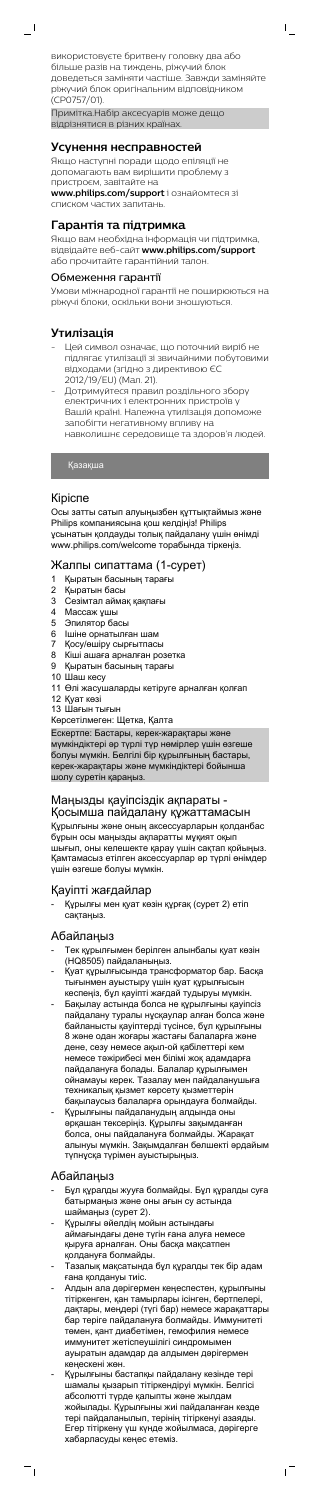використовуєте бритвену головку два або більше разів на тиждень, ріжучий блок доведеться заміняти частіше. Завжди заміняйте ріжучий блок оригінальним відповідником (CP0757/01).

 $\mathsf{L}$ 

Примітка.Набір аксесуарів може дещо відрізнятися в різних країнах.

### **Усунення несправностей**

Якщо наступні поради щодо епіляції не допомагають вам вирішити проблему з пристроєм, завітайте на

**www.philips.com/support** і ознайомтеся зі списком частих запитань.

### **Гарантія та підтримка**

Якщо вам необхідна інформація чи підтримка, відвідайте веб-сайт **www.philips.com/support** або прочитайте гарантійний талон.

#### Обмеження гарантії

Умови міжнародної гарантії не поширюються на ріжучі блоки, оскільки вони зношуються.

# **Утилізація**

- Цей символ означає, що поточний виріб не підлягає утилізації зі звичайними побутовими відходами (згідно з директивою ЄС 2012/19/EU) (Мал. 21).
- Дотримуйтеся правил роздільного збору електричних і електронних пристроїв у Вашій країні. Належна утилізація допоможе запобігти негативному впливу на навколишнє середовище та здоров'я людей.

### Маңызды қауіпсіздік ақпараты Қосымша пайдалану құжаттамасын

Қазақша

## Кіріспе

Осы затты сатып алуыңызбен құттықтаймыз және Philips компаниясына қош келдіңіз! Philips ұсынатын қолдауды толық пайдалану үшін өнімді www.philips.com/welcome торабында тіркеңіз.

### Жалпы сипаттама (1-сурет)

- 1 Қыратын басының тарағы
- 2 Қыратын басы<br>3 Сезімтал айма
- Сезімтал аймақ қақпағы
- 4 Массаж ұшы
- 5 Эпилятор басы
- 6 Ішіне орнатылған шам
- 7 Қосу/өшіру сырғытпасы
- 8 Кіші ашаға арналған розетка
- 9 Қыратын басының тарағы
- 10 Шаш кесу
- 11 Өлі жасушаларды кетіруге арналған қолғап
- 12 Қуат көзі
- 13 Шағын тығын
- Көрсетілмеген: Щетка, Қалта

Ескертпе: Бастары, керек-жарақтары және мүмкіндіктері әр түрлі түр нөмірлер үшін өзгеше болуы мүмкін. Белгілі бір құрылғының бастары, керек-жарақтары және мүмкіндіктері бойынша шолу суретін қараңыз.

Құрылғыны және оның аксессуарларын қолданбас бұрын осы маңызды ақпаратты мұқият оқып шығып, оны келешекте қарау үшін сақтап қойыңыз. Қамтамасыз етілген аксессуарлар әр түрлі өнімдер үшін өзгеше болуы мүмкін.

### Қауіпті жағдайлар

- Құрылғы мен қуат көзін құрғақ (сурет 2) етіп сақтаңыз.

# Абайлаңыз

- Тек құрылғымен берілген алынбалы қуат көзін (HQ8505) пайдаланыңыз.
- Қуат құрылғысында трансформатор бар. Басқа тығынмен ауыстыру үшін қуат құрылғысын кеспеңіз, бұл қауіпті жағдай тудыруы мүмкін.
- Бақылау астында болса не құрылғыны қауіпсіз пайдалану туралы нұсқаулар алған болса және байланысты қауіптерді түсінсе, бұл құрылғыны 8 және одан жоғары жастағы балаларға және дене, сезу немесе ақыл-ой қабілеттері кем немесе тәжірибесі мен білімі жоқ адамдарға пайдалануға болады. Балалар құрылғымен ойнамауы керек. Тазалау мен пайдалануші техникалық қызмет көрсету қызметтерін бақылаусыз балаларға орындауға болмайды. - Құрылғыны пайдаланудың алдында оны әрқашан тексеріңіз. Құрылғы зақымданған болса, оны пайдалануға болмайды. Жарақат алынуы мүмкін. Зақымдалған бөлшекті әрдайым түпнұсқа түрімен ауыстырыңыз.

# Абайлаңыз

 $\frac{1}{\sqrt{2}}$ 

- Бұл құралды жууға болмайды. Бұл құралды суға батырмаңыз және оны ағын су астында шаймаңыз (сурет 2).
- Құрылғы әйелдің мойын астындағы аймағындағы дене түгін ғана алуға немесе қыруға арналған. Оны басқа мақсатпен қолдануға болмайды.
- Тазалық мақсатында бұл құралды тек бір адам ғана қолдануы тиіс.
- Алдын ала дәрігермен кеңеспестен, құрылғыны тітіркенген, қан тамырлары ісінген, бөртпелері, дақтары, меңдері (түгі бар) немесе жарақаттары бар теріге пайдалануға болмайды. Иммунитеті төмен, қант диабетімен, гемофилия немесе иммунитет жетіспеушілігі синдромымен ауыратын адамдар да алдымен дәрігермен кеңескені жөн.
- Құрылғыны бастапқы пайдалану кезінде тері шамалы қызарып тітіркендіруі мүмкін. Белгісі абсолютті түрде қалыпты және жылдам жойылады. Құрылғыны жиі пайдаланған кезде тері пайдаланылып, терінің тітіркенуі азаяды. Егер тітіркену үш күнде жойылмаса, дәрігерге хабарласуды кеңес етеміз.

 $\overline{1}$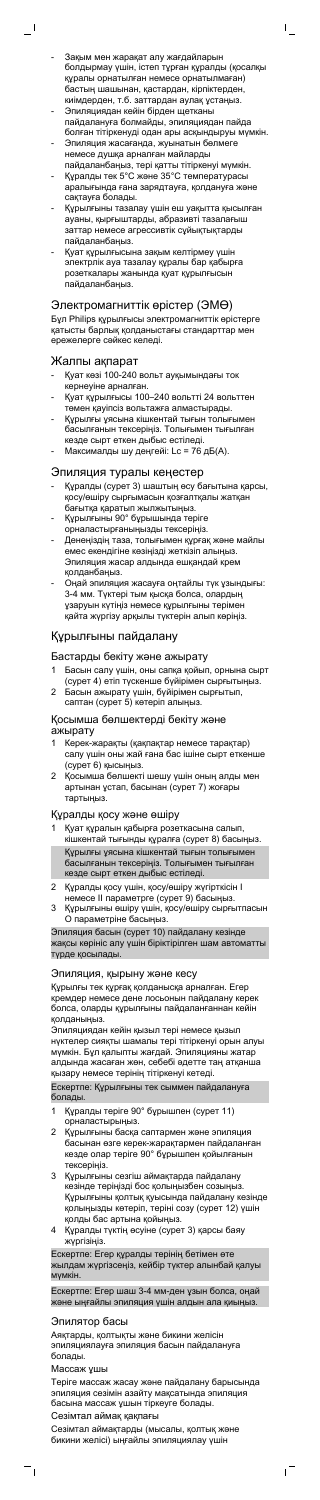- Зақым мен жарақат алу жағдайларын болдырмау үшін, істеп тұрған құралды (қосалқы құралы орнатылған немесе орнатылмаған) бастың шашынан, қастардан, кірпіктерден, киімдерден, т.б. заттардан аулақ ұстаңыз.

 $\mathsf{L}$ 

- Қуат көзі 100-240 вольт ауқымындағы ток кернеуіне арналған.
- Қуат құрылғысы 100–240 вольтті 24 вольттен төмен қауіпсіз вольтажға алмастырады.
- Құрылғы ұясына кішкентай тығын толығымен басылғанын тексеріңіз. Толығымен тығылған кезде сырт еткен дыбыс естіледі. Максималды шу деңгейі: Lc = 76 дБ(A).
- Эпиляциядан кейін бірден щетканы пайдалануға болмайды, эпиляциядан пайда болған тітіркенуді одан ары асқындыруы мүмкін.
- Эпиляция жасағанда, жуынатын бөлмеге немесе душқа арналған майларды
- пайдаланбаңыз, тері қатты тітіркенуі мүмкін. - Құралды тек 5°C және 35°C температурасы аралығында ғана зарядтауға, қолдануға және сақтауға болады.
- Құрылғыны тазалау үшін еш уақытта қысылған ауаны, қырғыштарды, абразивті тазалағыш заттар немесе агрессивтік сұйықтықтарды пайдаланбаңыз.
- Қуат құрылғысына зақым келтірмеу үшін электрлік ауа тазалау құралы бар қабырға розеткалары жанында қуат құрылғысын пайдаланбаңыз.

# Электромагниттік өрістер (ЭМӨ)

Бұл Philips құрылғысы электромагниттік өрістерге қатысты барлық қолданыстағы стандарттар мен ережелерге сәйкес келеді.

# Жалпы ақпарат

 $\overline{\phantom{0}}$ 

- Басын салу үшін, оны сапқа қойып, орнына сырт
- (сурет 4) етіп түскенше бүйірімен сырғытыңыз. 2 Басын ажырату үшін, бүйірімен сырғытып,
- саптан (сурет 5) көтеріп алыңыз.

### Эпиляция туралы кеңестер

- Құралды (сурет 3) шаштың өсу бағытына қарсы, қосу/өшіру сырғымасын қозғалтқалы жатқан бағытқа қаратып жылжытыңыз.
- Құрылғыны 90° бұрышында теріге орналастырғаныңызды тексеріңіз.
- Денеңіздің таза, толығымен құрғақ және майлы емес екендігіне көзіңізді жеткізіп алыңыз. Эпиляция жасар алдында ешқандай крем қолданбаңыз.
- Оңай эпиляция жасауға оңтайлы түк ұзындығы: 3-4 мм. Түктері тым қысқа болса, олардың ұзаруын күтіңіз немесе құрылғыны терімен қайта жүргізу арқылы түктерін алып көріңіз.

## Құрылғыны пайдалану

Бастарды бекіту және ажырату

Қосымша бөлшектерді бекіту және ажырату

- 1 Керек-жарақты (қақпақтар немесе тарақтар) салу үшін оны жай ғана бас ішіне сырт еткенше (сурет 6) қысыңыз.
- 2 Қосымша бөлшекті шешу үшін оның алды мен артынан ұстап, басынан (сурет 7) жоғары тартыңыз.

# Құралды қосу және өшіру

- 1 Қуат құралын қабырға розеткасына салып, кішкентай тығынды құралға (сурет 8) басыңыз. Құрылғы ұясына кішкентай тығын толығымен басылғанын тексеріңіз. Толығымен тығылған кезде сырт еткен дыбыс естіледі.
- 2 Құралды қосу үшін, қосу/өшіру жүгірткісін I немесе II параметрге (сурет 9) басыңыз.
- 3 Құрылғыны өшіру үшін, қосу/өшіру сырғытпасын O параметріне басыңыз.

Эпиляция басын (сурет 10) пайдалану кезінде жақсы көрініс алу үшін біріктірілген шам автоматты түрде қосылады.

## Эпиляция, қырыну және кесу

Құрылғы тек құрғақ қолданысқа арналған. Егер кремдер немесе дене лосьонын пайдалану керек болса, оларды құрылғыны пайдаланғаннан кейін қолданыңыз.

Эпиляциядан кейін қызыл тері немесе қызыл нүктелер сияқты шамалы тері тітіркенуі орын алуы мүмкін. Бұл қалыпты жағдай. Эпиляцияны жатар алдында жасаған жөн, себебі әдетте таң атқанша қызару немесе терінің тітіркенуі кетеді.

Ескертпе: Құрылғыны тек сыммен пайдалануға болады.

- 1 Құралды теріге 90° бұрышпен (сурет 11) орналастырыңыз.
- 2 Құрылғыны басқа саптармен және эпиляция басынан өзге керек-жарақтармен пайдаланған кезде олар теріге 90° бұрышпен қойылғанын тексеріңіз.
- 3 Құрылғыны сезгіш аймақтарда пайдалану кезінде теріңізді бос қолыңызбен созыңыз. Құрылғыны қолтық қуысында пайдалану кезінде қолыңызды көтеріп, теріні созу (сурет 12) үшін қолды бас артына қойыңыз.
- 4 Құралды түктің өсуіне (сурет 3) қарсы баяу жүргізіңіз.

Ескертпе: Егер құралды терінің бетімен өте жылдам жүргізсеңіз, кейбір түктер алынбай қалуы мүмкін.

Ескертпе: Егер шаш 3-4 мм-ден ұзын болса, оңай және ыңғайлы эпиляция үшін алдын ала қиыңыз.

## Эпилятор басы

Аяқтарды, қолтықты және бикини желісін эпиляциялауға эпиляция басын пайдалануға болады.

Массаж ұшы

 $^{-}$ 

Теріге массаж жасау және пайдалану барысында эпиляция сезімін азайту мақсатында эпиляция басына массаж ұшын тіркеуге болады.

 $^{-}$ 

Сезімтал аймақ қақпағы

Сезімтал аймақтарды (мысалы, қолтық және бикини желісі) ыңғайлы эпиляциялау үшін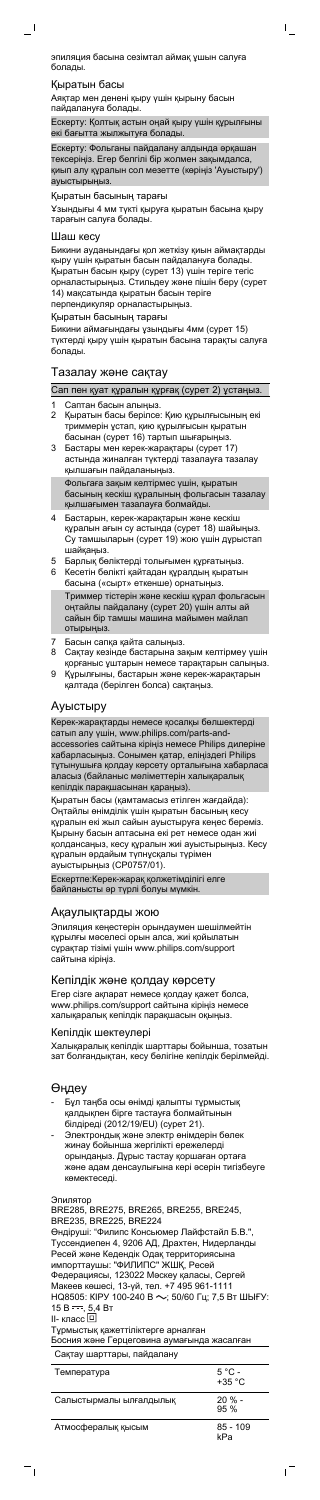### Қыратын басы

 $\overline{\phantom{0}}$ 

Аяқтар мен денені қыру үшін қырыну басын пайдалануға болады.

Ескерту: Қолтық астын оңай қыру үшін құрылғыны екі бағытта жылжытуға болады.

 $\mathsf{I}$ 

Ескерту: Фольганы пайдалану алдында әрқашан тексеріңіз. Егер белгілі бір жолмен зақымдалса, қиып алу құралын сол мезетте (көріңіз 'Ауыстыру') ауыстырыңыз.

Қыратын басының тарағы

Ұзындығы 4 мм түкті қыруға қыратын басына қыру тарағын салуға болады.

#### Шаш кесу

Бикини ауданындағы қол жеткізу қиын аймақтарды қыру үшін қыратын басын пайдалануға болады. Қыратын басын қыру (сурет 13) үшін теріге тегіс орналастырыңыз. Стильдеу және пішін беру (сурет 14) мақсатында қыратын басын теріге перпендикуляр орналастырыңыз.

Қыратын басының тарағы

Бикини аймағындағы ұзындығы 4мм (сурет 15) түктерді қыру үшін қыратын басына тарақты салуға болады.

## Тазалау және сақтау

Сап пен қуат құралын құрғақ (сурет 2) ұстаңыз.

- 1 Саптан басын алыңыз.<br>2 Кыратын басы берілсе 2 Қыратын басы берілсе: Қию құрылғысының екі триммерін ұстап, қию құрылғысын қыратын басынан (сурет 16) тартып шығарыңыз.
- 3 Бастары мен керек-жарақтары (сурет 17) астында жиналған түктерді тазалауға тазалау қылшағын пайдаланыңыз. Фольгаға зақым келтірмес үшін, қыратын басының кескіш құралының фольгасын тазалау қылшағымен тазалауға болмайды.
- 4 Бастарын, керек-жарақтарын және кескіш құралын ағын су астында (сурет 18) шайыңыз. Су тамшыларын (сурет 19) жою үшін дұрыстап шайқаңыз.
- 5 Барлық бөліктерді толығымен құрғатыңыз.
- 6 Кесетін бөлікті қайтадан құралдың қыратын басына («сырт» еткенше) орнатыңыз. Триммер тістерін және кескіш құрал фольгасын оңтайлы пайдалану (сурет 20) үшін алты ай сайын бір тамшы машина майымен майлап отырыңыз.
- 7 Басын сапқа қайта салыңыз.
- 8 Сақтау кезінде бастарына зақым келтірмеу үшін қорғаныс ұштарын немесе тарақтарын салыңыз.
- 9 Құрылғыны, бастарын және керек-жарақтарын қалтада (берілген болса) сақтаңыз.

BRE285, BRE275, BRE265, BRE255, BRE245, BRE235, BRE225, BRE224 Өндіруші: "Филипс Консьюмер Лайфстайл Б.В.", Туссендиепен 4, 9206 АД, Драхтен, Нидерланды Ресей және Кедендік Одақ территориясына импорттаушы: "ФИЛИПС" ЖШҚ, Ресей Федерациясы, 123022 Мәскеу қаласы, Сергей Макеев көшесі, 13-үй, тел. +7 495 961-1111  $H$ Q8505: КІРУ 100-240 В  $\sim$ ; 50/60 Гц; 7,5 Вт ШЫҒУ: 15 В <del>- -</del>, 5,4 Вт

## Ауыстыру

Керек-жарақтарды немесе қосалқы бөлшектерді сатып алу үшін, www.philips.com/parts-andaccessories сайтына кіріңіз немесе Philips дилеріне хабарласыңыз. Сонымен қатар, еліңіздегі Philips тұтынушыға қолдау көрсету орталығына хабарласа аласыз (байланыс мәліметтерін халықаралық кепілдік парақшасынан қараңыз).

Қыратын басы (қамтамасыз етілген жағдайда): Оңтайлы өнімділік үшін қыратын басының кесу құралын екі жыл сайын ауыстыруға кеңес береміз. Қырыну басын аптасына екі рет немесе одан жиі қолдансаңыз, кесу құралын жиі ауыстырыңыз. Кесу құралын әрдайым түпнұсқалы түрімен ауыстырыңыз (CP0757/01).

Ескертпе:Керек-жарақ қолжетімділігі елге байланысты әр түрлі болуы мүмкін.

# Ақаулықтарды жою

Эпиляция кеңестерін орындаумен шешілмейтін құрылғы мәселесі орын алса, жиі қойылатын сұрақтар тізімі үшін www.philips.com/support сайтына кіріңіз.

### Кепілдік және қолдау көрсету

Егер сізге ақпарат немесе қолдау қажет болса, www.philips.com/support сайтына кіріңіз немесе халықаралық кепілдік парақшасын оқыңыз.

## Кепілдік шектеулері

Халықаралық кепілдік шарттары бойынша, тозатын зат болғандықтан, кесу бөлігіне кепілдік берілмейді.

# Өңдеу

- Бұл таңба осы өнімді қалыпты тұрмыстық қалдықпен бірге тастауға болмайтынын білдіреді (2012/19/EU) (сурет 21).
- Электрондық және электр өнімдерін бөлек жинау бойынша жергілікті ережелерді орындаңыз. Дұрыс тастау қоршаған ортаға және адам денсаулығына кері әсерін тигізбеуге көмектеседі.

Эпилятор

II- класс

 $\frac{1}{\sqrt{2}}$ 

Тұрмыстық қажеттіліктерге арналған

Босния және Герцеговина аумағында жасалған

Сақтау шарттары, пайдалану

| Температура             | 5 °C -<br>$+35 °C$ |
|-------------------------|--------------------|
| Салыстырмалы ылғалдылық | $20 \% -$<br>95%   |
| Атмосфералық қысым      | $85 - 109$<br>kPa  |

ıT